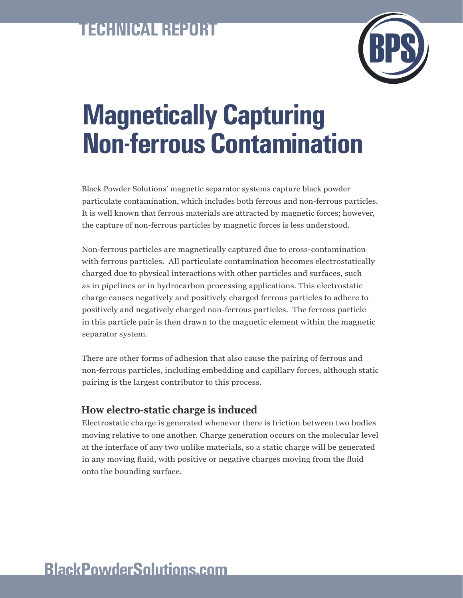## **TECHNICAL REPORT**



# **Magnetically Capturing Non-ferrous Contamination**

Black Powder Solutions' magnetic separator systems capture black powder particulate contamination, which includes both ferrous and non-ferrous particles. It is well known that ferrous materials are attracted by magnetic forces; however, the capture of non-ferrous particles by magnetic forces is less understood.

Non-ferrous particles are magnetically captured due to cross-contamination with ferrous particles. All particulate contamination becomes electrostatically charged due to physical interactions with other particles and surfaces, such as in pipelines or in hydrocarbon processing applications. This electrostatic charge causes negatively and positively charged ferrous particles to adhere to positively and negatively charged non-ferrous particles. The ferrous particle in this particle pair is then drawn to the magnetic element within the magnetic separator system.

There are other forms of adhesion that also cause the pairing of ferrous and non-ferrous particles, including embedding and capillary forces, although static pairing is the largest contributor to this process.

#### **How electro-static charge is induced**

Electrostatic charge is generated whenever there is friction between two bodies moving relative to one another. Charge generation occurs on the molecular level at the interface of any two unlike materials, so a static charge will be generated in any moving fluid, with positive or negative charges moving from the fluid onto the bounding surface.

### **BlackPowderSolutions.com**